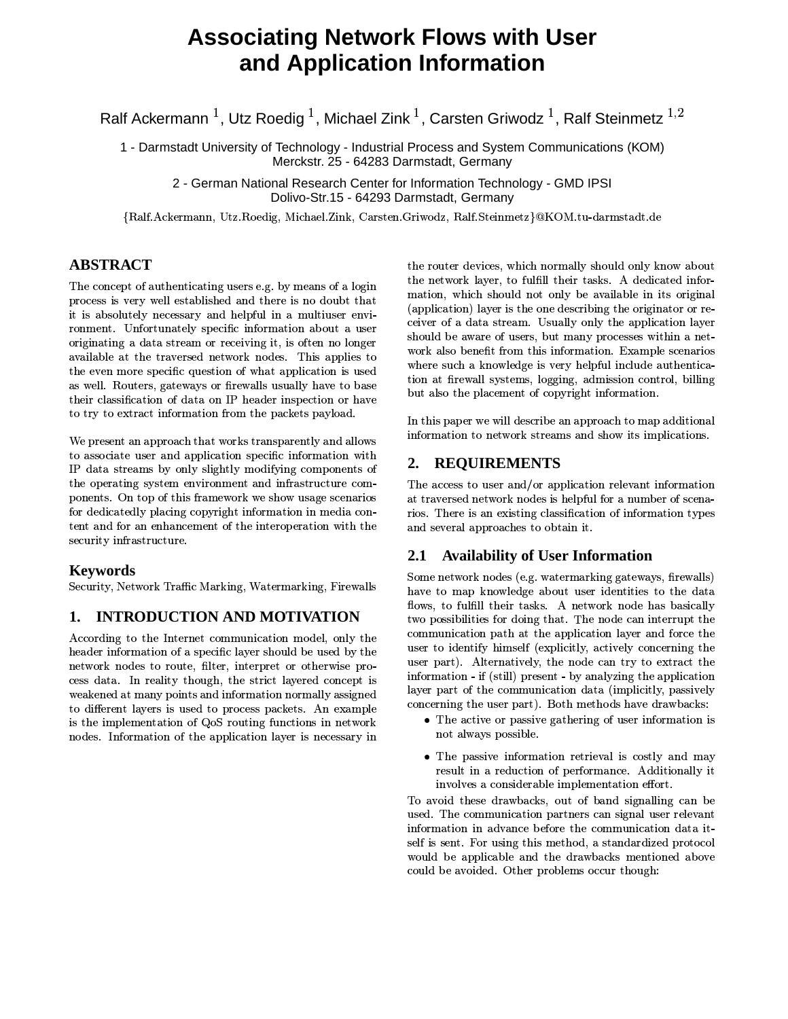# **Associating Network Flows with User** and Application Information

Ralf Ackermann<sup>1</sup>, Utz Roedig<sup>1</sup>, Michael Zink<sup>1</sup>, Carsten Griwodz<sup>1</sup>, Ralf Steinmetz<sup>1,2</sup>

1 - Darmstadt University of Technology - Industrial Process and System Communications (KOM) Merckstr. 25 - 64283 Darmstadt, Germany

2 - German National Research Center for Information Technology - GMD IPSI Dolivo-Str.15 - 64293 Darmstadt, Germany

{Ralf.Ackermann, Utz.Roedig, Michael.Zink, Carsten.Griwodz, Ralf.Steinmetz}@KOM.tu-darmstadt.de

### **ABSTRACT**

The concept of authenticating users e.g. by means of a login process is very well established and there is no doubt that it is absolutely necessary and helpful in a multiuser environment. Unfortunately specific information about a user originating a data stream or receiving it, is often no longer available at the traversed network nodes. This applies to the even more specific question of what application is used as well. Routers, gateways or firewalls usually have to base their classification of data on IP header inspection or have to try to extract information from the packets payload.

We present an approach that works transparently and allows to associate user and application specific information with IP data streams by only slightly modifying components of the operating system environment and infrastructure components. On top of this framework we show usage scenarios for dedicatedly placing copyright information in media content and for an enhancement of the interoperation with the security infrastructure.

### **Keywords**

Security, Network Traffic Marking, Watermarking, Firewalls

#### **INTRODUCTION AND MOTIVATION** 1.

According to the Internet communication model, only the header information of a specific layer should be used by the network nodes to route, filter, interpret or otherwise process data. In reality though, the strict layered concept is weakened at many points and information normally assigned to different layers is used to process packets. An example is the implementation of QoS routing functions in network nodes. Information of the application layer is necessary in

the router devices, which normally should only know about the network layer, to fulfill their tasks. A dedicated information, which should not only be available in its original (application) layer is the one describing the originator or receiver of a data stream. Usually only the application layer should be aware of users, but many processes within a network also benefit from this information. Example scenarios where such a knowledge is very helpful include authentication at firewall systems, logging, admission control, billing but also the placement of copyright information.

In this paper we will describe an approach to map additional information to network streams and show its implications.

#### **REQUIREMENTS**  $2.$

The access to user and/or application relevant information at traversed network nodes is helpful for a number of scenarios. There is an existing classification of information types and several approaches to obtain it.

## 2.1 Availability of User Information

Some network nodes (e.g. watermarking gateways, firewalls) have to map knowledge about user identities to the data flows, to fulfill their tasks. A network node has basically two possibilities for doing that. The node can interrupt the communication path at the application layer and force the user to identify himself (explicitly, actively concerning the user part). Alternatively, the node can try to extract the information - if (still) present - by analyzing the application layer part of the communication data (implicitly, passively concerning the user part). Both methods have drawbacks:

- The active or passive gathering of user information is not always possible.
- The passive information retrieval is costly and may result in a reduction of performance. Additionally it involves a considerable implementation effort.

To avoid these drawbacks, out of band signalling can be used. The communication partners can signal user relevant information in advance before the communication data itself is sent. For using this method, a standardized protocol would be applicable and the drawbacks mentioned above could be avoided. Other problems occur though: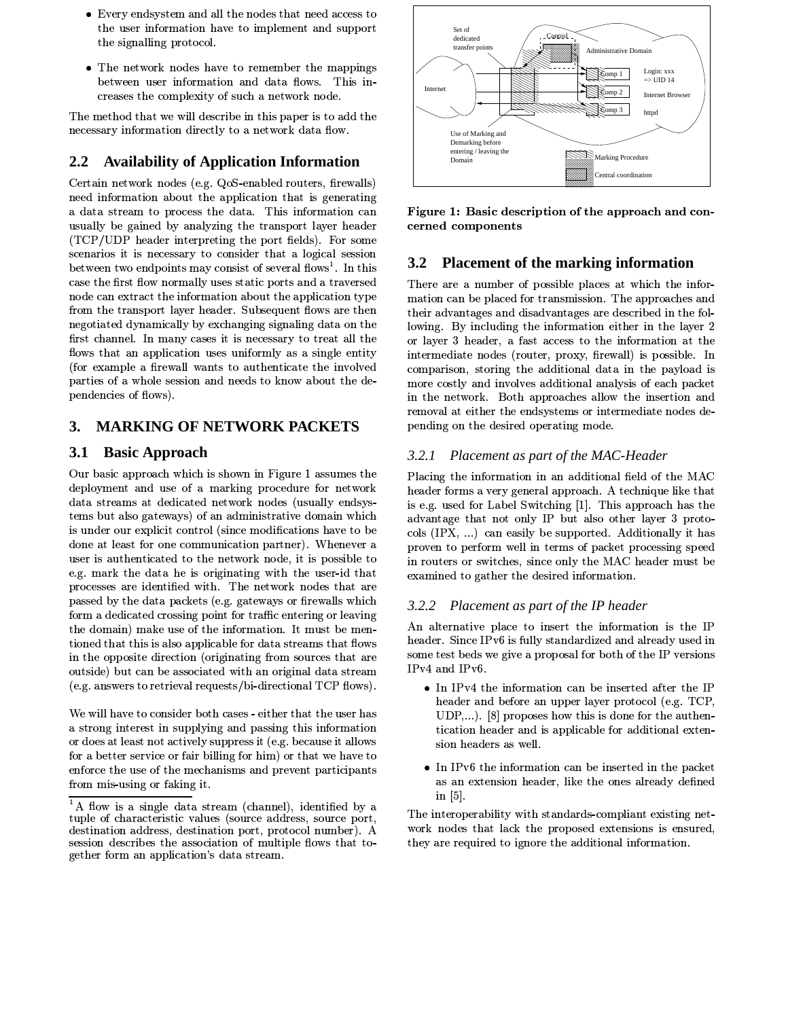- Every endsystem and all the nodes that need access to the user information have to implement and support the signalling protocol.
- The network nodes have to remember the mappings between user information and data flows. This increases the complexity of such a network node.

The method that we will describe in this paper is to add the necessary information directly to a network data flow.

#### **Availability of Application Information**  $2.2$

Certain network nodes (e.g. QoS-enabled routers, firewalls) need information about the application that is generating a data stream to process the data. This information can usually be gained by analyzing the transport layer header (TCP/UDP header interpreting the port fields). For some scenarios it is necessary to consider that a logical session between two endpoints may consist of several flows<sup>1</sup>. In this case the first flow normally uses static ports and a traversed node can extract the information about the application type from the transport layer header. Subsequent flows are then negotiated dynamically by exchanging signaling data on the first channel. In many cases it is necessary to treat all the flows that an application uses uniformly as a single entity (for example a firewall wants to authenticate the involved parties of a whole session and needs to know about the dependencies of flows).

#### **MARKING OF NETWORK PACKETS** 3.

#### $3.1$ **Basic Approach**

Our basic approach which is shown in Figure 1 assumes the deployment and use of a marking procedure for network data streams at dedicated network nodes (usually endsystems but also gateways) of an administrative domain which is under our explicit control (since modifications have to be done at least for one communication partner). Whenever a user is authenticated to the network node, it is possible to e.g. mark the data he is originating with the user-id that processes are identified with. The network nodes that are passed by the data packets (e.g. gateways or firewalls which form a dedicated crossing point for traffic entering or leaving the domain) make use of the information. It must be mentioned that this is also applicable for data streams that flows in the opposite direction (originating from sources that are outside) but can be associated with an original data stream (e.g. answers to retrieval requests/bi-directional TCP flows).

We will have to consider both cases - either that the user has a strong interest in supplying and passing this information or does at least not actively suppress it (e.g. because it allows for a better service or fair billing for him) or that we have to enforce the use of the mechanisms and prevent participants from mis-using or faking it.



Figure 1: Basic description of the approach and concerned components

#### **Placement of the marking information**  $3.2$

There are a number of possible places at which the information can be placed for transmission. The approaches and their advantages and disadvantages are described in the following. By including the information either in the layer 2 or layer 3 header, a fast access to the information at the intermediate nodes (router, proxy, firewall) is possible. In comparison, storing the additional data in the payload is more costly and involves additional analysis of each packet in the network. Both approaches allow the insertion and removal at either the endsystems or intermediate nodes depending on the desired operating mode.

### 3.2.1 Placement as part of the MAC-Header

Placing the information in an additional field of the MAC header forms a very general approach. A technique like that is e.g. used for Label Switching [1]. This approach has the advantage that not only IP but also other layer 3 protocols (IPX, ...) can easily be supported. Additionally it has proven to perform well in terms of packet processing speed in routers or switches, since only the MAC header must be examined to gather the desired information.

### 3.2.2 Placement as part of the IP header

An alternative place to insert the information is the IP header. Since IPv6 is fully standardized and already used in some test beds we give a proposal for both of the IP versions IPv4 and IPv6.

- In IPv4 the information can be inserted after the IP header and before an upper layer protocol (e.g. TCP,  $UDP,...$ ). [8] proposes how this is done for the authentication header and is applicable for additional extension headers as well.
- In IPv6 the information can be inserted in the packet as an extension header, like the ones already defined in  $[5]$ .

The interoperability with standards-compliant existing network nodes that lack the proposed extensions is ensured, they are required to ignore the additional information.

<sup>&</sup>lt;sup>1</sup>A flow is a single data stream (channel), identified by a tuple of characteristic values (source address, source port, destination address, destination port, protocol number). A session describes the association of multiple flows that together form an application's data stream.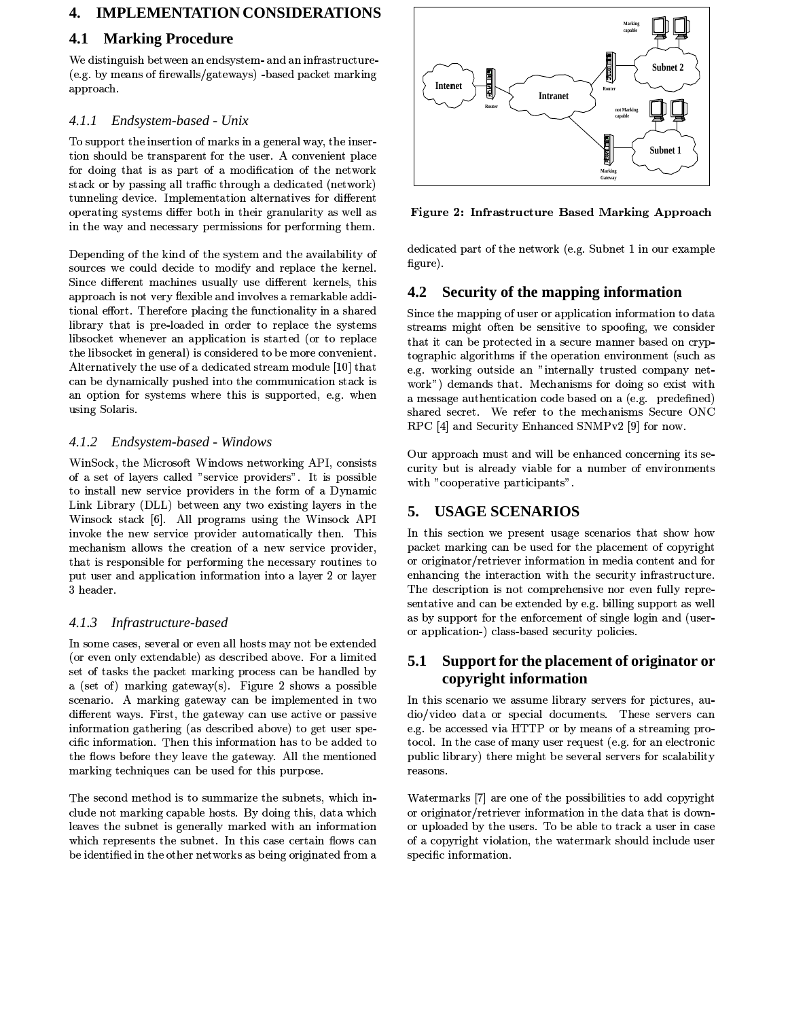#### **IMPLEMENTATION CONSIDERATIONS**  $\overline{4}$ .

#### $4.1$ **Marking Procedure**

We distinguish between an endsystem- and an infrastructure-(e.g. by means of firewalls/gateways) - based packet marking approach.

#### Endsystem-based - Unix  $4.1.1$

To support the insertion of marks in a general way, the insertion should be transparent for the user. A convenient place for doing that is as part of a modification of the network stack or by passing all traffic through a dedicated (network) tunneling device. Implementation alternatives for different operating systems differ both in their granularity as well as in the way and necessary permissions for performing them.

Depending of the kind of the system and the availability of sources we could decide to modify and replace the kernel. Since different machines usually use different kernels, this approach is not very flexible and involves a remarkable additional effort. Therefore placing the functionality in a shared library that is pre-loaded in order to replace the systems libsocket whenever an application is started (or to replace the libsocket in general) is considered to be more convenient. Alternatively the use of a dedicated stream module [10] that can be dynamically pushed into the communication stack is an option for systems where this is supported, e.g. when using Solaris.

#### Endsystem-based - Windows 4.1.2

WinSock, the Microsoft Windows networking API, consists of a set of layers called "service providers". It is possible to install new service providers in the form of a Dynamic Link Library (DLL) between any two existing layers in the Winsock stack [6]. All programs using the Winsock API invoke the new service provider automatically then. This mechanism allows the creation of a new service provider, that is responsible for performing the necessary routines to put user and application information into a layer 2 or layer 3 header.

### 4.1.3 Infrastructure-based

In some cases, several or even all hosts may not be extended (or even only extendable) as described above. For a limited set of tasks the packet marking process can be handled by a (set of) marking gateway(s). Figure 2 shows a possible scenario. A marking gateway can be implemented in two different ways. First, the gateway can use active or passive information gathering (as described above) to get user specific information. Then this information has to be added to the flows before they leave the gateway. All the mentioned marking techniques can be used for this purpose.

The second method is to summarize the subnets, which include not marking capable hosts. By doing this, data which leaves the subnet is generally marked with an information which represents the subnet. In this case certain flows can be identified in the other networks as being originated from a



Figure 2: Infrastructure Based Marking Approach

dedicated part of the network (e.g. Subnet 1 in our example figure).

### 4.2 Security of the mapping information

Since the mapping of user or application information to data streams might often be sensitive to spoofing, we consider that it can be protected in a secure manner based on cryptographic algorithms if the operation environment (such as e.g. working outside an "internally trusted company network") demands that. Mechanisms for doing so exist with a message authentication code based on a (e.g. predefined) shared secret. We refer to the mechanisms Secure ONC RPC [4] and Security Enhanced SNMPv2 [9] for now.

Our approach must and will be enhanced concerning its security but is already viable for a number of environments with "cooperative participants".

# 5. USAGE SCENARIOS

In this section we present usage scenarios that show how packet marking can be used for the placement of copyright or originator/retriever information in media content and for enhancing the interaction with the security infrastructure. The description is not comprehensive nor even fully representative and can be extended by e.g. billing support as well as by support for the enforcement of single login and (useror application-) class-based security policies.

## 5.1 Support for the placement of originator or copyright information

In this scenario we assume library servers for pictures, audio/video data or special documents. These servers can e.g. be accessed via HTTP or by means of a streaming protocol. In the case of many user request (e.g. for an electronic public library) there might be several servers for scalability reasons.

Watermarks [7] are one of the possibilities to add copyright or originator/retriever information in the data that is downor uploaded by the users. To be able to track a user in case of a copyright violation, the watermark should include user specific information.